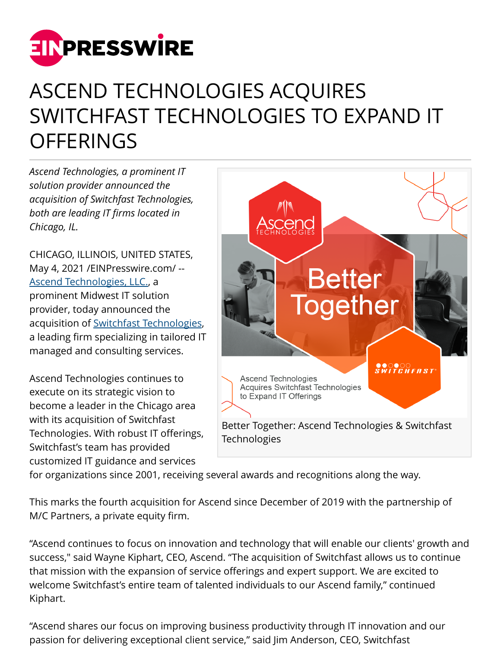

## ASCEND TECHNOLOGIES ACQUIRES SWITCHFAST TECHNOLOGIES TO EXPAND IT **OFFERINGS**

*Ascend Technologies, a prominent IT solution provider announced the acquisition of Switchfast Technologies, both are leading IT firms located in Chicago, IL.*

CHICAGO, ILLINOIS, UNITED STATES, May 4, 2021 [/EINPresswire.com/](http://www.einpresswire.com) -- [Ascend Technologies, LLC.](https://www.teamascend.com/), a prominent Midwest IT solution provider, today announced the acquisition of [Switchfast Technologies,](https://www.switchfast.com/) a leading firm specializing in tailored IT managed and consulting services.

Ascend Technologies continues to execute on its strategic vision to become a leader in the Chicago area with its acquisition of Switchfast Technologies. With robust IT offerings, Switchfast's team has provided customized IT guidance and services



for organizations since 2001, receiving several awards and recognitions along the way.

This marks the fourth acquisition for Ascend since December of 2019 with the partnership of M/C Partners, a private equity firm.

"Ascend continues to focus on innovation and technology that will enable our clients' growth and success," said Wayne Kiphart, CEO, Ascend. "The acquisition of Switchfast allows us to continue that mission with the expansion of service offerings and expert support. We are excited to welcome Switchfast's entire team of talented individuals to our Ascend family," continued Kiphart.

"Ascend shares our focus on improving business productivity through IT innovation and our passion for delivering exceptional client service," said Jim Anderson, CEO, Switchfast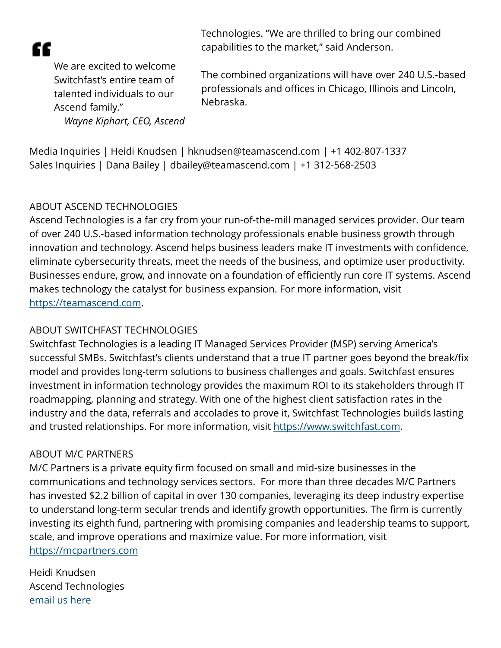

Technologies. "We are thrilled to bring our combined capabilities to the market," said Anderson.

We are excited to welcome Switchfast's entire team of talented individuals to our Ascend family." *Wayne Kiphart, CEO, Ascend*

The combined organizations will have over 240 U.S.-based professionals and offices in Chicago, Illinois and Lincoln, Nebraska.

Media Inquiries | Heidi Knudsen | hknudsen@teamascend.com | +1 402-807-1337 Sales Inquiries | Dana Bailey | dbailey@teamascend.com | +1 312-568-2503

## ABOUT ASCEND TECHNOLOGIES

Ascend Technologies is a far cry from your run-of-the-mill managed services provider. Our team of over 240 U.S.-based information technology professionals enable business growth through innovation and technology. Ascend helps business leaders make IT investments with confidence, eliminate cybersecurity threats, meet the needs of the business, and optimize user productivity. Businesses endure, grow, and innovate on a foundation of efficiently run core IT systems. Ascend makes technology the catalyst for business expansion. For more information, visit [https://teamascend.com.](https://teamascend.com)

## ABOUT SWITCHFAST TECHNOLOGIES

Switchfast Technologies is a leading IT Managed Services Provider (MSP) serving America's successful SMBs. Switchfast's clients understand that a true IT partner goes beyond the break/fix model and provides long-term solutions to business challenges and goals. Switchfast ensures investment in information technology provides the maximum ROI to its stakeholders through IT roadmapping, planning and strategy. With one of the highest client satisfaction rates in the industry and the data, referrals and accolades to prove it, Switchfast Technologies builds lasting and trusted relationships. For more information, visit<https://www.switchfast.com>.

## ABOUT M/C PARTNERS

M/C Partners is a private equity firm focused on small and mid-size businesses in the communications and technology services sectors. For more than three decades M/C Partners has invested \$2.2 billion of capital in over 130 companies, leveraging its deep industry expertise to understand long-term secular trends and identify growth opportunities. The firm is currently investing its eighth fund, partnering with promising companies and leadership teams to support, scale, and improve operations and maximize value. For more information, visit <https://mcpartners.com>

Heidi Knudsen Ascend Technologies [email us here](http://www.einpresswire.com/contact_author/3087586)